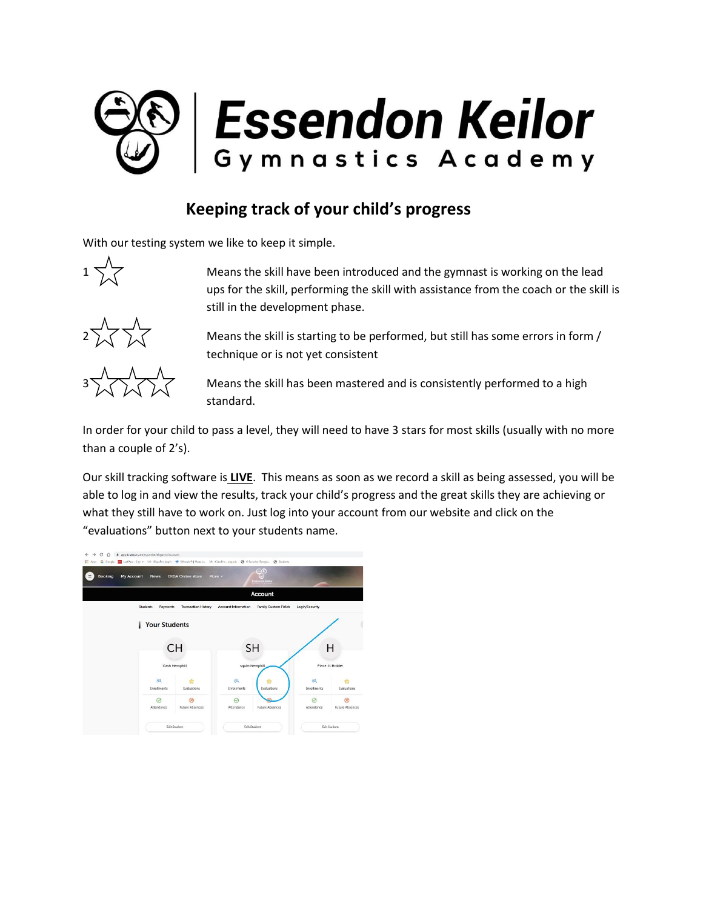

## **Keeping track of your child's progress**

With our testing system we like to keep it simple.



 $1 \overline{\smash{\bigvee}}$  Means the skill have been introduced and the gymnast is working on the lead ups for the skill, performing the skill with assistance from the coach or the skill is still in the development phase.



Means the skill is starting to be performed, but still has some errors in form / technique or is not yet consistent



Means the skill has been mastered and is consistently performed to a high standard.

In order for your child to pass a level, they will need to have 3 stars for most skills (usually with no more than a couple of 2's).

Our skill tracking software is **LIVE**. This means as soon as we record a skill as being assessed, you will be able to log in and view the results, track your child's progress and the great skills they are achieving or what they still have to work on. Just log into your account from our website and click on the "evaluations" button next to your students name.

| $\leftarrow$<br>$\rightarrow$<br>C<br>$\hat{D}$                                                                                           | @ app.iclasspro.com/portal/ekgavic/account |                            |                            |                             |                  |                        |
|-------------------------------------------------------------------------------------------------------------------------------------------|--------------------------------------------|----------------------------|----------------------------|-----------------------------|------------------|------------------------|
| The Apps G Google The Last Ass - Sign In 1/4 (ClassFro.Login & Wherein®   Maps o. 1/4 (ClassFro - eligevis @ G Suite by Google @ Students |                                            |                            |                            |                             |                  |                        |
| Booking<br>$\equiv$                                                                                                                       | My Account<br><b>News</b>                  | <b>EKGA Online store</b>   | More $\vee$                | ęç<br>Externdon Keilor      |                  |                        |
|                                                                                                                                           | Account                                    |                            |                            |                             |                  |                        |
|                                                                                                                                           | Students<br>Payments                       | <b>Transaction History</b> | <b>Account Information</b> | <b>Family Custom Fields</b> | Login/Security   |                        |
|                                                                                                                                           | <b>Your Students</b><br>ı                  |                            |                            |                             |                  |                        |
|                                                                                                                                           | CH                                         |                            | <b>SH</b>                  |                             |                  | н                      |
|                                                                                                                                           | Cash Hemphill                              |                            | squirt hemphill            |                             | Place 11 Holder  |                        |
|                                                                                                                                           | 换<br>Enrollments                           | ŵ<br>Evaluations           | 换<br><b>Enrollments</b>    | Evaluations                 | 隅<br>Enrollments | Evaluations            |
|                                                                                                                                           | ⊘<br>Attendance                            | <b>Future Absences</b>     | $\oslash$<br>Attendance    | <b>Future Absences</b>      | ⊘<br>Attendance  | <b>Future Absences</b> |
|                                                                                                                                           | <b>Edit Student</b>                        |                            | <b>Edit Student</b>        |                             | Edit Student     |                        |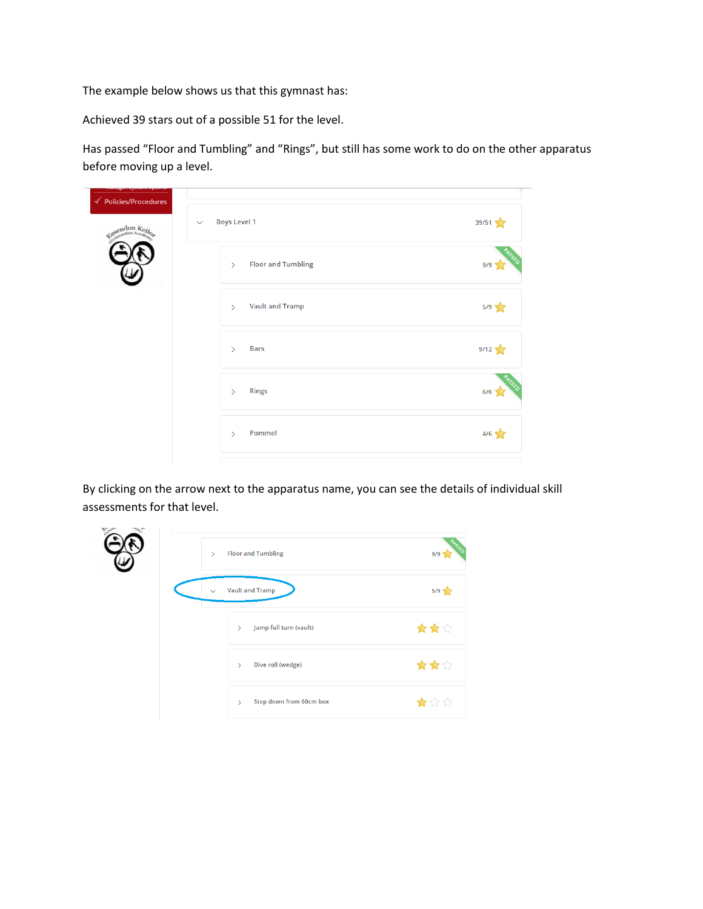The example below shows us that this gymnast has:

Achieved 39 stars out of a possible 51 for the level.

Has passed "Floor and Tumbling" and "Rings", but still has some work to do on the other apparatus before moving up a level.

| ← Policies/Procedures |                                            |       |
|-----------------------|--------------------------------------------|-------|
| Essendon Keilor       | <b>Boys Level 1</b><br>$\checkmark$        | 39/51 |
|                       | <b>Floor and Tumbling</b><br>$\mathcal{P}$ | 9/9   |
|                       | <b>Vault and Tramp</b><br>$\rightarrow$    | 5/9   |
|                       | <b>Bars</b><br>$\rightarrow$               | 9/12  |
|                       | <b>Rings</b><br>$\rightarrow$              | 6/6   |
|                       | Pommel<br>$\rightarrow$                    | 4/6   |
|                       |                                            |       |

By clicking on the arrow next to the apparatus name, you can see the details of individual skill assessments for that level.